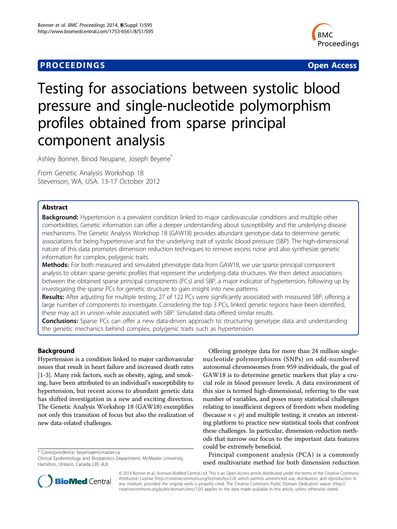# **PROCEEDINGS STATES CONSUMING S** Open Access **CONSUMING S**



# Testing for associations between systolic blood pressure and single-nucleotide polymorphism profiles obtained from sparse principal component analysis

Ashley Bonner, Binod Neupane, Joseph Beyene<sup>\*</sup>

From Genetic Analysis Workshop 18 Stevenson, WA, USA. 13-17 October 2012

# Abstract

Background: Hypertension is a prevalent condition linked to major cardiovascular conditions and multiple other comorbidities. Genetic information can offer a deeper understanding about susceptibility and the underlying disease mechanisms. The Genetic Analysis Workshop 18 (GAW18) provides abundant genotype data to determine genetic associations for being hypertensive and for the underlying trait of systolic blood pressure (SBP). The high-dimensional nature of this data promotes dimension reduction techniques to remove excess noise and also synthesize genetic information for complex, polygenic traits.

Methods: For both measured and simulated phenotype data from GAW18, we use sparse principal component analysis to obtain sparse genetic profiles that represent the underlying data structures. We then detect associations between the obtained sparse principal components (PCs) and SBP, a major indicator of hypertension, following up by investigating the sparse PCs for genetic structure to gain insight into new patterns.

Results: After adjusting for multiple testing, 27 of 122 PCs were significantly associated with measured SBP, offering a large number of components to investigate. Considering the top 3 PCs, linked genetic regions have been identified; these may act in unison while associated with SBP. Simulated data offered similar results.

**Conclusions:** Sparse PCs can offer a new data-driven approach to structuring genotype data and understanding the genetic mechanics behind complex, polygenic traits such as hypertension.

# Background

Hypertension is a condition linked to major cardiovascular issues that result in heart failure and increased death rates [[1-3](#page-4-0)]. Many risk factors, such as obesity, aging, and smoking, have been attributed to an individual's susceptibility to hypertension, but recent access to abundant genetic data has shifted investigation in a new and exciting direction. The Genetic Analysis Workshop 18 (GAW18) exemplifies not only this transition of focus but also the realization of new data-related challenges.

\* Correspondence: [beyene@mcmaster.ca](mailto:beyene@mcmaster.ca)

Offering genotype data for more than 24 million singlenucleotide polymorphisms (SNPs) on odd-numbered autosomal chromosomes from 959 individuals, the goal of GAW18 is to determine genetic markers that play a crucial role in blood pressure levels. A data environment of this size is termed high-dimensional, referring to the vast number of variables, and poses many statistical challenges relating to insufficient degrees of freedom when modeling (because  $n < p$ ) and multiple testing; it creates an interesting platform to practice new statistical tools that confront these challenges. In particular, dimension-reduction methods that narrow our focus to the important data features could be extremely beneficial.

Principal component analysis (PCA) is a commonly used multivariate method for both dimension reduction



© 2014 Bonner et al.; licensee BioMed Central Ltd. This is an Open Access article distributed under the terms of the Creative Commons Attribution License [\(http://creativecommons.org/licenses/by/2.0](http://creativecommons.org/licenses/by/2.0)), which permits unrestricted use, distribution, and reproduction in any medium, provided the original work is properly cited. The Creative Commons Public Domain Dedication waiver [\(http://](http://creativecommons.org/publicdomain/zero/1.0/) [creativecommons.org/publicdomain/zero/1.0/](http://creativecommons.org/publicdomain/zero/1.0/)) applies to the data made available in this article, unless otherwise stated.

Clinical Epidemiology and Biostatistics Department, McMaster University, Hamilton, Ontario, Canada L8S 4L8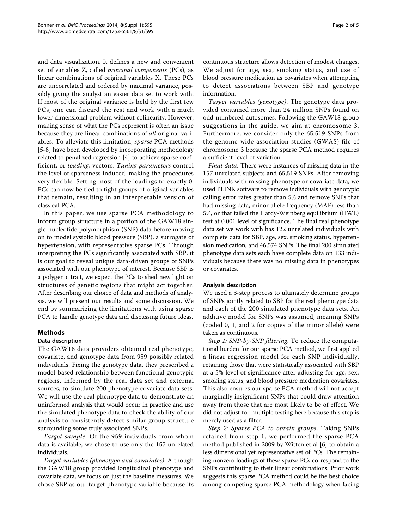and data visualization. It defines a new and convenient set of variables Z, called principal components (PCs), as linear combinations of original variables X. These PCs are uncorrelated and ordered by maximal variance, possibly giving the analyst an easier data set to work with. If most of the original variance is held by the first few PCs, one can discard the rest and work with a much lower dimensional problem without colinearity. However, making sense of what the PCs represent is often an issue because they are linear combinations of all original variables. To alleviate this limitation, sparse PCA methods [[5-8](#page-4-0)] have been developed by incorporating methodology related to penalized regression [\[4](#page-4-0)] to achieve sparse coefficient, or loading, vectors. Tuning parameters control the level of sparseness induced, making the procedures very flexible. Setting most of the loadings to exactly 0, PCs can now be tied to tight groups of original variables that remain, resulting in an interpretable version of classical PCA.

In this paper, we use sparse PCA methodology to inform group structure in a portion of the GAW18 single-nucleotide polymorphism (SNP) data before moving on to model systolic blood pressure (SBP), a surrogate of hypertension, with representative sparse PCs. Through interpreting the PCs significantly associated with SBP, it is our goal to reveal unique data-driven groups of SNPs associated with our phenotype of interest. Because SBP is a polygenic trait, we expect the PCs to shed new light on structures of genetic regions that might act together. After describing our choice of data and methods of analysis, we will present our results and some discussion. We end by summarizing the limitations with using sparse PCA to handle genotype data and discussing future ideas.

### Methods

### Data description

The GAW18 data providers obtained real phenotype, covariate, and genotype data from 959 possibly related individuals. Fixing the genotype data, they prescribed a model-based relationship between functional genotypic regions, informed by the real data set and external sources, to simulate 200 phenotype-covariate data sets. We will use the real phenotype data to demonstrate an uninformed analysis that would occur in practice and use the simulated phenotype data to check the ability of our analysis to consistently detect similar group structure surrounding some truly associated SNPs.

Target sample. Of the 959 individuals from whom data is available, we chose to use only the 157 unrelated individuals.

Target variables (phenotype and covariates). Although the GAW18 group provided longitudinal phenotype and covariate data, we focus on just the baseline measures. We chose SBP as our target phenotype variable because its continuous structure allows detection of modest changes. We adjust for age, sex, smoking status, and use of blood pressure medication as covariates when attempting to detect associations between SBP and genotype information.

Target variables (genotype). The genotype data provided contained more than 24 million SNPs found on odd-numbered autosomes. Following the GAW18 group suggestions in the guide, we aim at chromosome 3. Furthermore, we consider only the 65,519 SNPs from the genome-wide association studies (GWAS) file of chromosome 3 because the sparse PCA method requires a sufficient level of variation.

Final data. There were instances of missing data in the 157 unrelated subjects and 65,519 SNPs. After removing individuals with missing phenotype or covariate data, we used PLINK software to remove individuals with genotypic calling error rates greater than 5% and remove SNPs that had missing data, minor allele frequency (MAF) less than 5%, or that failed the Hardy-Weinberg equilibrium (HWE) test at 0.001 level of significance. The final real phenotype data set we work with has 122 unrelated individuals with complete data for SBP, age, sex, smoking status, hypertension medication, and 46,574 SNPs. The final 200 simulated phenotype data sets each have complete data on 133 individuals because there was no missing data in phenotypes or covariates.

### Analysis description

We used a 3-step process to ultimately determine groups of SNPs jointly related to SBP for the real phenotype data and each of the 200 simulated phenotype data sets. An additive model for SNPs was assumed, meaning SNPs (coded 0, 1, and 2 for copies of the minor allele) were taken as continuous.

Step 1: SNP-by-SNP filtering. To reduce the computational burden for our sparse PCA method, we first applied a linear regression model for each SNP individually, retaining those that were statistically associated with SBP at a 5% level of significance after adjusting for age, sex, smoking status, and blood pressure medication covariates. This also ensures our sparse PCA method will not accept marginally insignificant SNPs that could draw attention away from those that are most likely to be of effect. We did not adjust for multiple testing here because this step is merely used as a filter.

Step 2: Sparse PCA to obtain groups. Taking SNPs retained from step 1, we performed the sparse PCA method published in 2009 by Witten et al [\[6\]](#page-4-0) to obtain a less dimensional yet representative set of PCs. The remaining nonzero loadings of these sparse PCs correspond to the SNPs contributing to their linear combinations. Prior work suggests this sparse PCA method could be the best choice among competing sparse PCA methodology when facing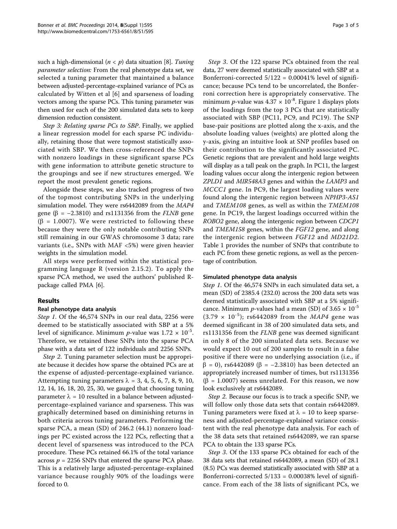such a high-dimensional ( $n < p$ ) data situation [\[8\]](#page-4-0). Tuning parameter selection: From the real phenotype data set, we selected a tuning parameter that maintained a balance between adjusted-percentage-explained variance of PCs as calculated by Witten et al [[6\]](#page-4-0) and sparseness of loading vectors among the sparse PCs. This tuning parameter was then used for each of the 200 simulated data sets to keep dimension reduction consistent.

Step 3: Relating sparse PCs to SBP. Finally, we applied a linear regression model for each sparse PC individually, retaining those that were topmost statistically associated with SBP. We then cross-referenced the SNPs with nonzero loadings in these significant sparse PCs with gene information to attribute genetic structure to the groupings and see if new structures emerged. We report the most prevalent genetic regions.

Alongside these steps, we also tracked progress of two of the topmost contributing SNPs in the underlying simulation model. They were rs6442089 from the MAP4 gene ( $\beta$  = -2.3810) and rs1131356 from the *FLNB* gene ( $\beta$  = 1.0007). We were restricted to following these because they were the only notable contributing SNPs still remaining in our GWAS chromosome 3 data; rare variants (i.e., SNPs with MAF <5%) were given heavier weights in the simulation model.

All steps were performed within the statistical programming language R (version 2.15.2). To apply the sparse PCA method, we used the authors' published Rpackage called PMA [[6\]](#page-4-0).

# Results

# Real phenotype data analysis

Step 1. Of the 46,574 SNPs in our real data, 2256 were deemed to be statistically associated with SBP at a 5% level of significance. Minimum *p*-value was  $1.72 \times 10^{-5}$ . Therefore, we retained these SNPs into the sparse PCA phase with a data set of 122 individuals and 2256 SNPs.

Step 2. Tuning parameter selection must be appropriate because it decides how sparse the obtained PCs are at the expense of adjusted-percentage-explained variance. Attempting tuning parameters  $\lambda = 3, 4, 5, 6, 7, 8, 9, 10,$ 12, 14, 16, 18, 20, 25, 30, we gauged that choosing tuning parameter  $\lambda = 10$  resulted in a balance between adjustedpercentage-explained variance and sparseness. This was graphically determined based on diminishing returns in both criteria across tuning parameters. Performing the sparse PCA, a mean (SD) of 246.2 (44.1) nonzero loadings per PC existed across the 122 PCs, reflecting that a decent level of sparseness was introduced to the PCA procedure. These PCs retained 66.1% of the total variance across  $p = 2256$  SNPs that entered the sparse PCA phase. This is a relatively large adjusted-percentage-explained variance because roughly 90% of the loadings were forced to 0.

Step 3. Of the 122 sparse PCs obtained from the real data, 27 were deemed statistically associated with SBP at a Bonferroni-corrected  $5/122 = 0.00041\%$  level of significance; because PCs tend to be uncorrelated, the Bonferroni correction here is appropriately conservative. The minimum *p*-value was  $4.37 \times 10^{-8}$  $4.37 \times 10^{-8}$  $4.37 \times 10^{-8}$ . Figure 1 displays plots of the loadings from the top 3 PCs that are statistically associated with SBP (PC11, PC9, and PC19). The SNP base-pair positions are plotted along the x-axis, and the absolute loading values (weights) are plotted along the y-axis, giving an intuitive look at SNP profiles based on their contribution to the significantly associated PC. Genetic regions that are prevalent and hold large weights will display as a tall peak on the graph. In PC11, the largest loading values occur along the intergenic region between ZPLD1 and MIR548A3 genes and within the LAMP3 and MCCC1 gene. In PC9, the largest loading values were found along the intergenic region between NPHP3-AS1 and TMEM108 genes, as well as within the TMEM108 gene. In PC19, the largest loadings occurred within the ROBO2 gene, along the intergenic region between CDCP1 and TMEM158 genes, within the FGF12 gene, and along the intergenic region between FGF12 and MD21D2. Table [1](#page-3-0) provides the number of SNPs that contribute to each PC from these genetic regions, as well as the percentage of contribution.

# Simulated phenotype data analysis

Step 1. Of the 46,574 SNPs in each simulated data set, a mean (SD) of 2385.4 (232.0) across the 200 data sets was deemed statistically associated with SBP at a 5% significance. Minimum *p*-values had a mean (SD) of  $3.65 \times 10^{-5}$  $(3.79 \times 10^{-5})$ ; rs6442089 from the *MAP4* gene was deemed significant in 38 of 200 simulated data sets, and rs1131356 from the FLNB gene was deemed significant in only 8 of the 200 simulated data sets. Because we would expect 10 out of 200 samples to result in a false positive if there were no underlying association (i.e., if  $β = 0$ , rs6442089 (β = -2.3810) has been detected an appropriately increased number of times, but rs1131356  $(\beta = 1.0007)$  seems unrelated. For this reason, we now look exclusively at rs6442089.

Step 2. Because our focus is to track a specific SNP, we will follow only those data sets that contain rs6442089. Tuning parameters were fixed at  $\lambda = 10$  to keep sparseness and adjusted-percentage-explained variance consistent with the real phenotype data analysis. For each of the 38 data sets that retained rs6442089, we ran sparse PCA to obtain the 133 sparse PCs.

Step 3. Of the 133 sparse PCs obtained for each of the 38 data sets that retained rs6442089, a mean (SD) of 28.1 (8.5) PCs was deemed statistically associated with SBP at a Bonferroni-corrected  $5/133 = 0.00038\%$  level of significance. From each of the 38 lists of significant PCs, we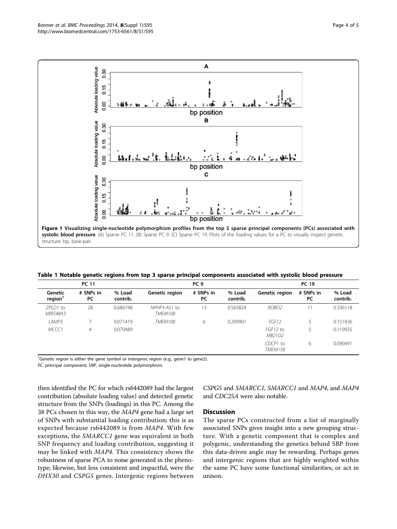<span id="page-3-0"></span>

Table 1 Notable genetic regions from top 3 sparse principal components associated with systolic blood pressure

| <b>PC 11</b>                   |                 |                    | PC <sub>9</sub>                |                        |                    | <b>PC 19</b>               |                 |                    |
|--------------------------------|-----------------|--------------------|--------------------------------|------------------------|--------------------|----------------------------|-----------------|--------------------|
| Genetic<br>region <sup>1</sup> | # SNPs in<br>PC | % Load<br>contrib. | Genetic region                 | # SNPs in<br><b>PC</b> | % Load<br>contrib. | Genetic region             | # SNPs in<br>PC | % Load<br>contrib. |
| 7PID1 to<br>MIR548A3           | 28              | 0.686748           | NPHP3-AS1 to<br><b>TMEM108</b> | 3                      | 0.563824           | ROBO <sub>2</sub>          |                 | 0.336118           |
| LAMP3                          |                 | 0.071419           | <b>TMEM108</b>                 | 6                      | 0.209901           | FGF12                      |                 | 0.151836           |
| MCCC1                          | $\overline{4}$  | 0.070489           |                                |                        |                    | FGF12 to<br>MB21D2         |                 | 0.119935           |
|                                |                 |                    |                                |                        |                    | CDCP1 to<br><b>TMEM158</b> | 6               | 0.090491           |

 $^1$ Genetic region is either the gene symbol or intergenic region (e.g., gene1 to gene2).

PC, principal component; SNP, single-nucleotide polymorphism.

then identified the PC for which rs6442089 had the largest contribution (absolute loading value) and detected genetic structure from the SNPs (loadings) in this PC. Among the 38 PCs chosen in this way, the MAP4 gene had a large set of SNPs with substantial loading contribution; this is as expected because rs6442089 is from MAP4. With few exceptions, the SMARCC1 gene was equivalent in both SNP frequency and loading contribution, suggesting it may be linked with MAP4. This consistency shows the robustness of sparse PCA to noise generated in the phenotype; likewise, but less consistent and impactful, were the DHX30 and CSPG5 genes. Intergenic regions between

CSPG5 and SMARCC1, SMARCC1 and MAP4, and MAP4 and CDC25A were also notable.

### Discussion

The sparse PCs constructed from a list of marginally associated SNPs gives insight into a new grouping structure. With a genetic component that is complex and polygenic, understanding the genetics behind SBP from this data-driven angle may be rewarding. Perhaps genes and intergenic regions that are highly weighted within the same PC have some functional similarities, or act in unison.